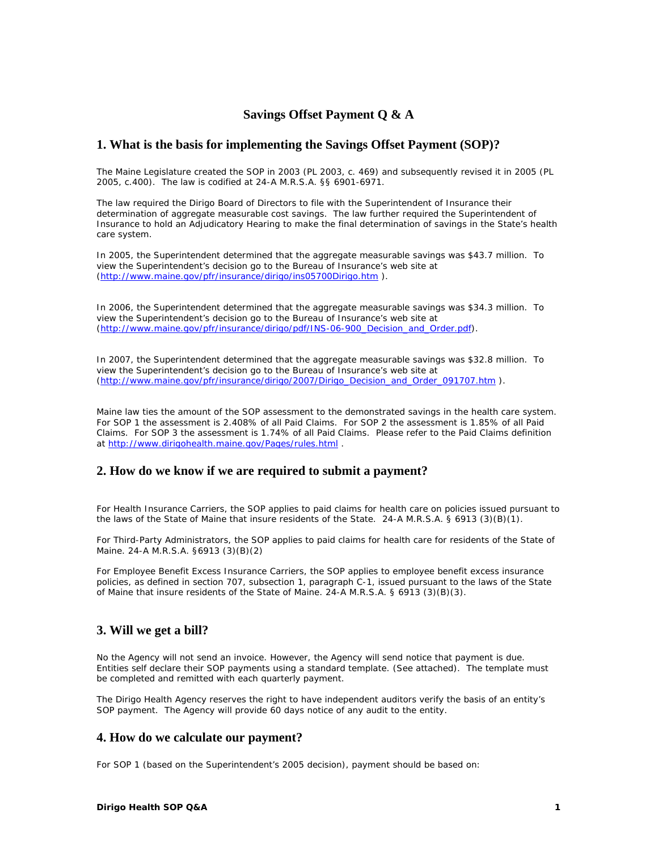# **Savings Offset Payment Q & A**

### **1. What is the basis for implementing the Savings Offset Payment (SOP)?**

The Maine Legislature created the SOP in 2003 (PL 2003, c. 469) and subsequently revised it in 2005 (PL 2005, c.400). The law is codified at 24-A M.R.S.A. §§ 6901-6971.

The law required the Dirigo Board of Directors to file with the Superintendent of Insurance their determination of aggregate measurable cost savings. The law further required the Superintendent of Insurance to hold an Adjudicatory Hearing to make the final determination of savings in the State's health care system.

In 2005, the Superintendent determined that the aggregate measurable savings was \$43.7 million. To view the Superintendent's decision go to the Bureau of Insurance's web site at (http://www.maine.gov/pfr/insurance/dirigo/ins05700Dirigo.htm ).

In 2006, the Superintendent determined that the aggregate measurable savings was \$34.3 million. To view the Superintendent's decision go to the Bureau of Insurance's web site at (http://www.maine.gov/pfr/insurance/dirigo/pdf/INS-06-900\_Decision\_and\_Order.pdf).

In 2007, the Superintendent determined that the aggregate measurable savings was \$32.8 million. To view the Superintendent's decision go to the Bureau of Insurance's web site at (http://www.maine.gov/pfr/insurance/dirigo/2007/Dirigo\_Decision\_and\_Order\_091707.htm ).

Maine law ties the amount of the SOP assessment to the demonstrated savings in the health care system. For SOP 1 the assessment is 2.408% of all Paid Claims. For SOP 2 the assessment is 1.85% of all Paid Claims. For SOP 3 the assessment is 1.74% of all Paid Claims. Please refer to the Paid Claims definition at http://www.dirigohealth.maine.gov/Pages/rules.html .

#### **2. How do we know if we are required to submit a payment?**

For Health Insurance Carriers, the SOP applies to paid claims for health care on policies issued pursuant to the laws of the State of Maine that insure residents of the State. 24-A M.R.S.A. § 6913 (3)(B)(1).

For Third-Party Administrators, the SOP applies to paid claims for health care for residents of the State of Maine. 24-A M.R.S.A. §6913 (3)(B)(2)

For Employee Benefit Excess Insurance Carriers, the SOP applies to employee benefit excess insurance policies, as defined in section 707, subsection 1, paragraph C-1, issued pursuant to the laws of the State of Maine that insure residents of the State of Maine. 24-A M.R.S.A. § 6913 (3)(B)(3).

### **3. Will we get a bill?**

No the Agency will not send an invoice. However, the Agency will send notice that payment is due. Entities self declare their SOP payments using a standard template. (See attached). The template must be completed and remitted with each quarterly payment.

The Dirigo Health Agency reserves the right to have independent auditors verify the basis of an entity's SOP payment. The Agency will provide 60 days notice of any audit to the entity.

#### **4. How do we calculate our payment?**

For SOP 1 (based on the Superintendent's 2005 decision), payment should be based on: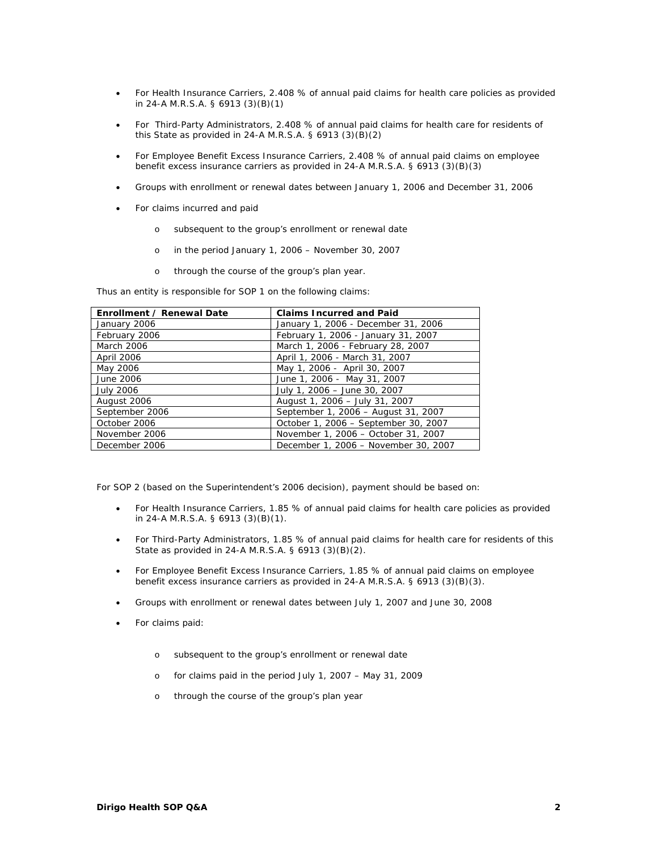- For Health Insurance Carriers, 2.408 % of annual paid claims for health care policies as provided in 24-A M.R.S.A. § 6913 (3)(B)(1)
- For Third-Party Administrators, 2.408 % of annual paid claims for health care for residents of this State as provided in 24-A M.R.S.A. § 6913 (3)(B)(2)
- For Employee Benefit Excess Insurance Carriers, 2.408 % of annual paid claims on employee benefit excess insurance carriers as provided in 24-A M.R.S.A. § 6913 (3)(B)(3)
- Groups with enrollment or renewal dates between January 1, 2006 and December 31, 2006
- For claims incurred and paid
	- o subsequent to the group's enrollment or renewal date
	- o in the period January 1, 2006 November 30, 2007
	- o through the course of the group's plan year.

Thus an entity is responsible for SOP 1 on the following claims:

| Enrollment / Renewal Date | <b>Claims Incurred and Paid</b>      |
|---------------------------|--------------------------------------|
| January 2006              | January 1, 2006 - December 31, 2006  |
| February 2006             | February 1, 2006 - January 31, 2007  |
| March 2006                | March 1, 2006 - February 28, 2007    |
| April 2006                | April 1, 2006 - March 31, 2007       |
| May 2006                  | May 1, 2006 - April 30, 2007         |
| June 2006                 | June 1, 2006 - May 31, 2007          |
| <b>July 2006</b>          | July 1, 2006 - June 30, 2007         |
| August 2006               | August 1, 2006 - July 31, 2007       |
| September 2006            | September 1, 2006 - August 31, 2007  |
| October 2006              | October 1, 2006 - September 30, 2007 |
| November 2006             | November 1, 2006 - October 31, 2007  |
| December 2006             | December 1, 2006 - November 30, 2007 |

For SOP 2 (based on the Superintendent's 2006 decision), payment should be based on:

- For Health Insurance Carriers, 1.85 % of annual paid claims for health care policies as provided in 24-A M.R.S.A. § 6913 (3)(B)(1).
- For Third-Party Administrators, 1.85 % of annual paid claims for health care for residents of this State as provided in 24-A M.R.S.A. § 6913 (3)(B)(2).
- For Employee Benefit Excess Insurance Carriers, 1.85 % of annual paid claims on employee benefit excess insurance carriers as provided in 24-A M.R.S.A. § 6913 (3)(B)(3).
- Groups with enrollment or renewal dates between July 1, 2007 and June 30, 2008
- For claims paid:
	- o subsequent to the group's enrollment or renewal date
	- o for claims paid in the period July 1, 2007 May 31, 2009
	- o through the course of the group's plan year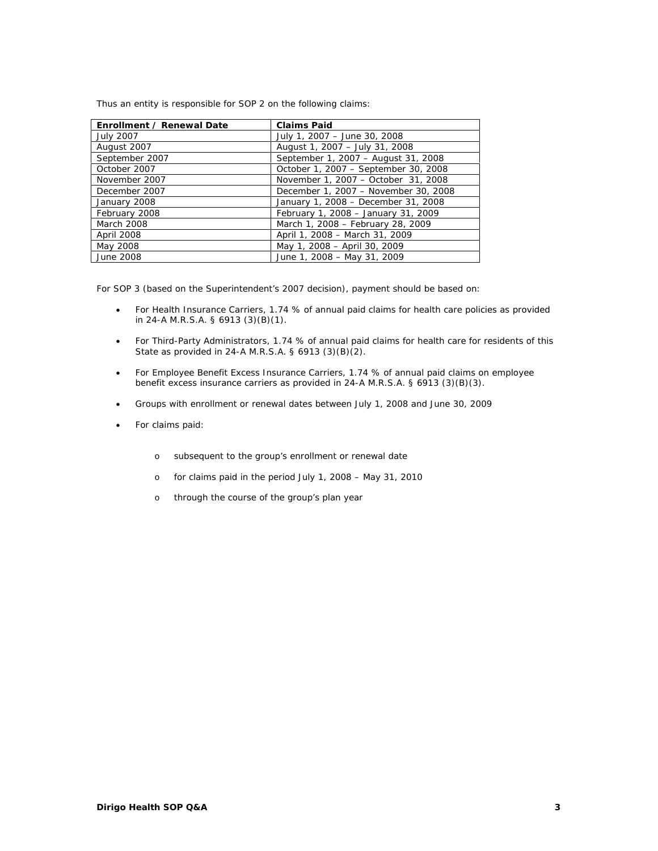Thus an entity is responsible for SOP 2 on the following claims:

| Enrollment / Renewal Date | <b>Claims Paid</b>                   |
|---------------------------|--------------------------------------|
| <b>July 2007</b>          | July 1, 2007 - June 30, 2008         |
| August 2007               | August 1, 2007 - July 31, 2008       |
| September 2007            | September 1, 2007 - August 31, 2008  |
| October 2007              | October 1, 2007 - September 30, 2008 |
| November 2007             | November 1, 2007 - October 31, 2008  |
| December 2007             | December 1, 2007 - November 30, 2008 |
| January 2008              | January 1, 2008 - December 31, 2008  |
| February 2008             | February 1, 2008 - January 31, 2009  |
| March 2008                | March 1, 2008 - February 28, 2009    |
| <b>April 2008</b>         | April 1, 2008 - March 31, 2009       |
| May 2008                  | May 1, 2008 - April 30, 2009         |
| June 2008                 | June 1, 2008 - May 31, 2009          |

For SOP 3 (based on the Superintendent's 2007 decision), payment should be based on:

- For Health Insurance Carriers, 1.74 % of annual paid claims for health care policies as provided in 24-A M.R.S.A. § 6913 (3)(B)(1).
- For Third-Party Administrators, 1.74 % of annual paid claims for health care for residents of this State as provided in 24-A M.R.S.A. § 6913 (3)(B)(2).
- For Employee Benefit Excess Insurance Carriers, 1.74 % of annual paid claims on employee benefit excess insurance carriers as provided in 24-A M.R.S.A. § 6913 (3)(B)(3).
- Groups with enrollment or renewal dates between July 1, 2008 and June 30, 2009
- For claims paid:
	- o subsequent to the group's enrollment or renewal date
	- o for claims paid in the period July 1, 2008 May 31, 2010
	- o through the course of the group's plan year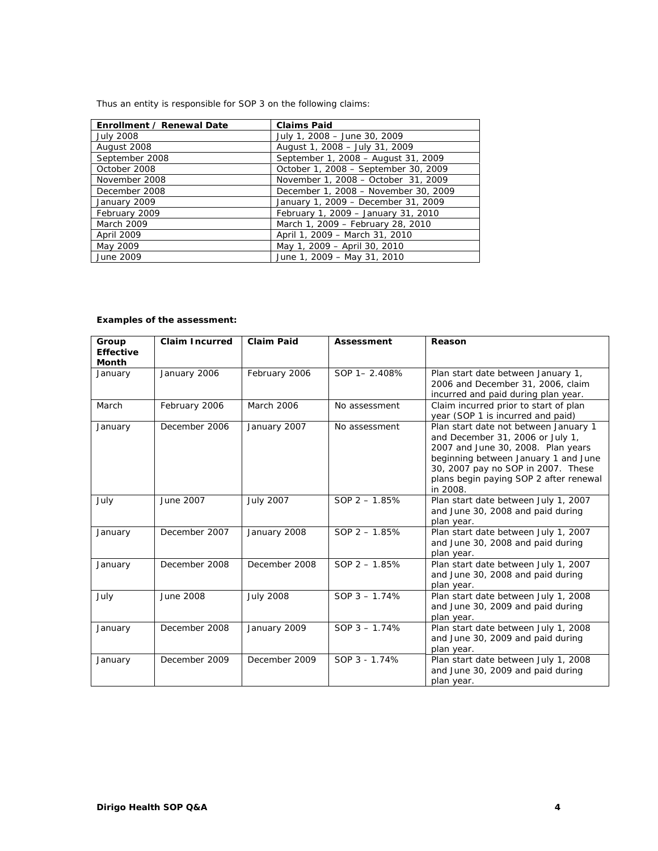Thus an entity is responsible for SOP 3 on the following claims:

| Enrollment / Renewal Date | <b>Claims Paid</b>                   |
|---------------------------|--------------------------------------|
| <b>July 2008</b>          | July 1, 2008 - June 30, 2009         |
| August 2008               | August 1, 2008 - July 31, 2009       |
| September 2008            | September 1, 2008 - August 31, 2009  |
| October 2008              | October 1, 2008 - September 30, 2009 |
| November 2008             | November 1, 2008 - October 31, 2009  |
| December 2008             | December 1, 2008 - November 30, 2009 |
| January 2009              | January 1, 2009 - December 31, 2009  |
| February 2009             | February 1, 2009 - January 31, 2010  |
| March 2009                | March 1, 2009 - February 28, 2010    |
| April 2009                | April 1, 2009 - March 31, 2010       |
| May 2009                  | May 1, 2009 - April 30, 2010         |
| June 2009                 | June 1, 2009 - May 31, 2010          |

# **Examples of the assessment:**

| Group<br><b>Effective</b><br><b>Month</b> | <b>Claim Incurred</b> | <b>Claim Paid</b> | Assessment      | Reason                                                                                                                                                                                                                                              |
|-------------------------------------------|-----------------------|-------------------|-----------------|-----------------------------------------------------------------------------------------------------------------------------------------------------------------------------------------------------------------------------------------------------|
| January                                   | January 2006          | February 2006     | SOP 1-2.408%    | Plan start date between January 1,<br>2006 and December 31, 2006, claim<br>incurred and paid during plan year.                                                                                                                                      |
| March                                     | February 2006         | <b>March 2006</b> | No assessment   | Claim incurred prior to start of plan<br>year (SOP 1 is incurred and paid)                                                                                                                                                                          |
| January                                   | December 2006         | January 2007      | No assessment   | Plan start date not between January 1<br>and December 31, 2006 or July 1,<br>2007 and June 30, 2008. Plan years<br>beginning between January 1 and June<br>30, 2007 pay no SOP in 2007. These<br>plans begin paying SOP 2 after renewal<br>in 2008. |
| July                                      | June 2007             | <b>July 2007</b>  | SOP $2 - 1.85%$ | Plan start date between July 1, 2007<br>and June 30, 2008 and paid during<br>plan year.                                                                                                                                                             |
| January                                   | December 2007         | January 2008      | $SOP$ 2 - 1.85% | Plan start date between July 1, 2007<br>and June 30, 2008 and paid during<br>plan year.                                                                                                                                                             |
| January                                   | December 2008         | December 2008     | $SOP$ 2 - 1.85% | Plan start date between July 1, 2007<br>and June 30, 2008 and paid during<br>plan year.                                                                                                                                                             |
| July                                      | June 2008             | <b>July 2008</b>  | SOP $3 - 1.74%$ | Plan start date between July 1, 2008<br>and June 30, 2009 and paid during<br>plan year.                                                                                                                                                             |
| January                                   | December 2008         | January 2009      | SOP $3 - 1.74%$ | Plan start date between July 1, 2008<br>and June 30, 2009 and paid during<br>plan year.                                                                                                                                                             |
| January                                   | December 2009         | December 2009     | SOP 3 - 1.74%   | Plan start date between July 1, 2008<br>and June 30, 2009 and paid during<br>plan year.                                                                                                                                                             |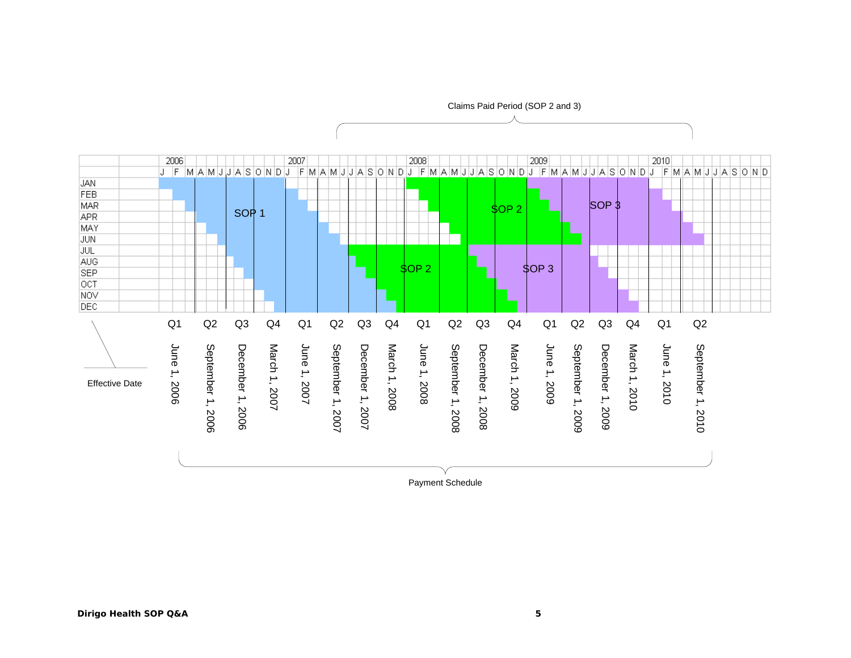

Payment Schedule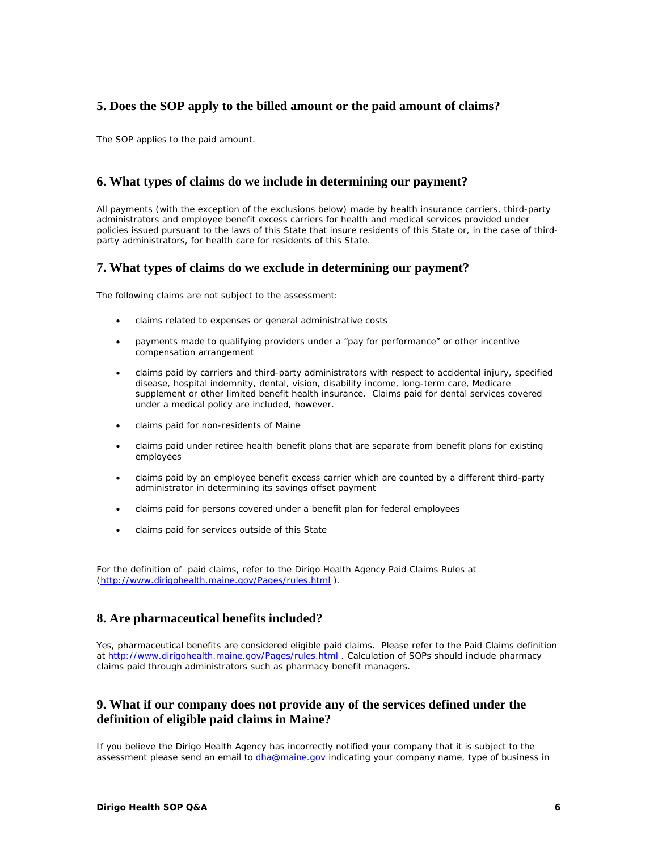# **5. Does the SOP apply to the billed amount or the paid amount of claims?**

The SOP applies to the paid amount.

### **6. What types of claims do we include in determining our payment?**

All payments (with the exception of the exclusions below) made by health insurance carriers, third-party administrators and employee benefit excess carriers for health and medical services provided under policies issued pursuant to the laws of this State that insure residents of this State or, in the case of thirdparty administrators, for health care for residents of this State.

#### **7. What types of claims do we exclude in determining our payment?**

The following claims are not subject to the assessment:

- claims related to expenses or general administrative costs
- payments made to qualifying providers under a "pay for performance" or other incentive compensation arrangement
- claims paid by carriers and third-party administrators with respect to accidental injury, specified disease, hospital indemnity, dental, vision, disability income, long-term care, Medicare supplement or other limited benefit health insurance. Claims paid for dental services covered under a medical policy are included, however.
- claims paid for non-residents of Maine
- claims paid under retiree health benefit plans that are separate from benefit plans for existing employees
- claims paid by an employee benefit excess carrier which are counted by a different third-party administrator in determining its savings offset payment
- claims paid for persons covered under a benefit plan for federal employees
- claims paid for services outside of this State

For the definition of paid claims, refer to the Dirigo Health Agency Paid Claims Rules at (http://www.dirigohealth.maine.gov/Pages/rules.html ).

### **8. Are pharmaceutical benefits included?**

Yes, pharmaceutical benefits are considered eligible paid claims. Please refer to the Paid Claims definition at http://www.dirigohealth.maine.gov/Pages/rules.html . Calculation of SOPs should include pharmacy claims paid through administrators such as pharmacy benefit managers.

### **9. What if our company does not provide any of the services defined under the definition of eligible paid claims in Maine?**

If you believe the Dirigo Health Agency has incorrectly notified your company that it is subject to the assessment please send an email to *dha@maine.gov* indicating your company name, type of business in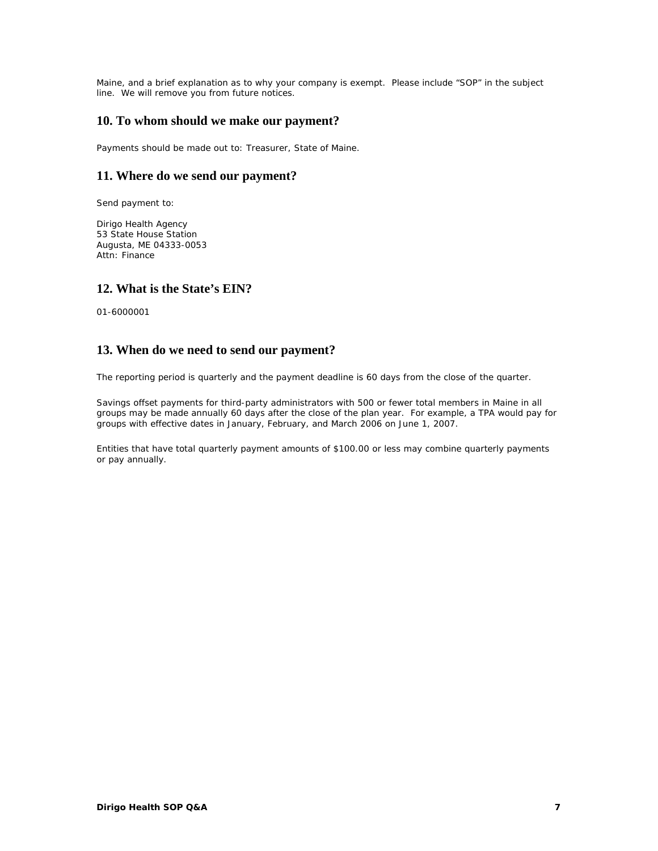Maine, and a brief explanation as to why your company is exempt. Please include "SOP" in the subject line. We will remove you from future notices.

### **10. To whom should we make our payment?**

Payments should be made out to: Treasurer, State of Maine.

### **11. Where do we send our payment?**

Send payment to:

Dirigo Health Agency 53 State House Station Augusta, ME 04333-0053 Attn: Finance

### **12. What is the State's EIN?**

01-6000001

### **13. When do we need to send our payment?**

The reporting period is quarterly and the payment deadline is 60 days from the close of the quarter.

Savings offset payments for third-party administrators with 500 or fewer total members in Maine in all groups may be made annually 60 days after the close of the plan year. For example, a TPA would pay for groups with effective dates in January, February, and March 2006 on June 1, 2007.

Entities that have total quarterly payment amounts of \$100.00 or less may combine quarterly payments or pay annually.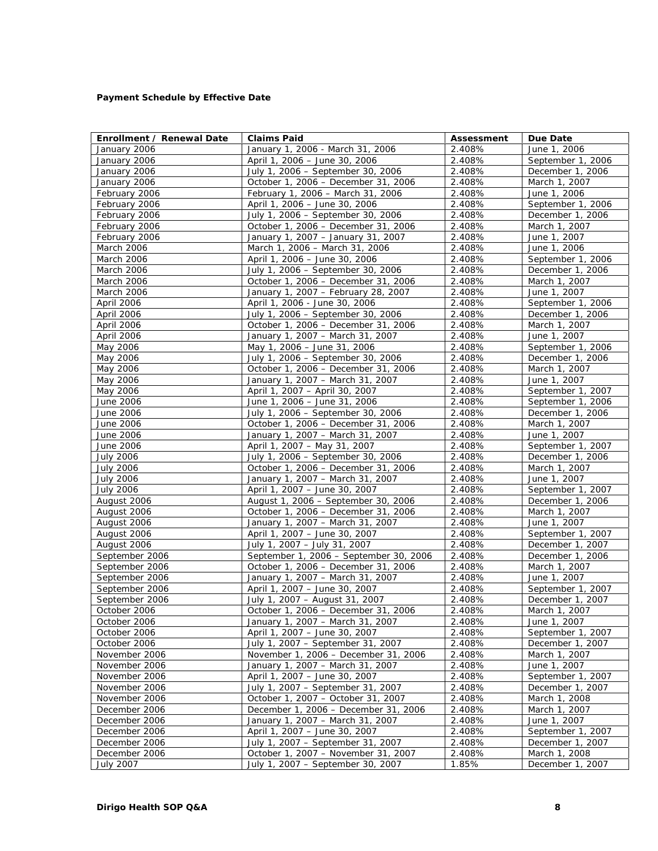#### **Payment Schedule by Effective Date**

| Enrollment / Renewal Date        | <b>Claims Paid</b>                                                      | Assessment       | Due Date                          |
|----------------------------------|-------------------------------------------------------------------------|------------------|-----------------------------------|
| January 2006                     | January 1, 2006 - March 31, 2006                                        | 2.408%           | June 1, 2006                      |
| January 2006                     | April 1, 2006 - June 30, 2006                                           | 2.408%           | September 1, 2006                 |
| January 2006                     | July 1, 2006 - September 30, 2006                                       | 2.408%           | December 1, 2006                  |
| January 2006                     | October 1, 2006 - December 31, 2006                                     | 2.408%           | March 1, 2007                     |
| February 2006                    | February 1, 2006 - March 31, 2006                                       | 2.408%           | June 1, 2006                      |
| February 2006                    | April 1, 2006 - June 30, 2006                                           | 2.408%           | September 1, 2006                 |
| February 2006                    | July 1, 2006 - September 30, 2006                                       | 2.408%           | December 1, 2006                  |
| February 2006                    | October 1, 2006 - December 31, 2006                                     | 2.408%           | March 1, 2007                     |
| February 2006                    | January 1, 2007 - January 31, 2007                                      | 2.408%           | June 1, 2007                      |
| March 2006                       | March 1, 2006 - March 31, 2006                                          | 2.408%           | June 1, 2006                      |
| March 2006                       | April 1, 2006 - June 30, 2006                                           | 2.408%           | September 1, 2006                 |
| March 2006                       | July 1, 2006 - September 30, 2006                                       | 2.408%           | December 1, 2006                  |
| March 2006                       | October 1, 2006 - December 31, 2006                                     | 2.408%           | March 1, 2007                     |
| March 2006                       | January 1, 2007 - February 28, 2007                                     | 2.408%           | June 1, 2007                      |
| April 2006                       | April 1, 2006 - June 30, 2006                                           | 2.408%           | September 1, 2006                 |
| April 2006                       | July 1, 2006 - September 30, 2006                                       | 2.408%           | December 1, 2006                  |
| April 2006                       | October 1, 2006 - December 31, 2006                                     | 2.408%           | March 1, 2007                     |
| April 2006                       | January 1, 2007 - March 31, 2007                                        | 2.408%           | June 1, 2007                      |
| May 2006                         | May 1, 2006 - June 31, 2006                                             | 2.408%           | September 1, 2006                 |
| May 2006                         | July 1, 2006 - September 30, 2006                                       | 2.408%           | December 1, 2006                  |
| May 2006                         | October 1, 2006 - December 31, 2006                                     | 2.408%           | March 1, 2007                     |
| May 2006                         | January 1, 2007 - March 31, 2007                                        | 2.408%           | June 1, 2007                      |
| May 2006                         | April 1, 2007 - April 30, 2007                                          | 2.408%           | September 1, 2007                 |
| June 2006                        | June 1, 2006 - June 31, 2006                                            | 2.408%           | September 1, 2006                 |
| June 2006                        | July 1, 2006 - September 30, 2006                                       | 2.408%           | December 1, 2006                  |
| June 2006                        | October 1, 2006 - December 31, 2006                                     | 2.408%           | March 1, 2007                     |
| June 2006                        | January 1, 2007 - March 31, 2007                                        | 2.408%           | June 1, 2007                      |
| June 2006                        | April 1, 2007 - May 31, 2007                                            | 2.408%           | September 1, 2007                 |
| <b>July 2006</b>                 | July 1, 2006 - September 30, 2006                                       | 2.408%           | December 1, 2006                  |
| <b>July 2006</b>                 | October 1, 2006 - December 31, 2006                                     | 2.408%           | March 1, 2007                     |
| <b>July 2006</b>                 | January 1, 2007 - March 31, 2007                                        | 2.408%           | June 1, 2007                      |
| <b>July 2006</b>                 | April 1, 2007 - June 30, 2007                                           | 2.408%           | September 1, 2007                 |
| August 2006                      | August 1, 2006 - September 30, 2006                                     | 2.408%           | December 1, 2006                  |
| August 2006                      | October 1, 2006 - December 31, 2006                                     | 2.408%           | March 1, 2007                     |
| August 2006                      | January 1, 2007 - March 31, 2007                                        | 2.408%           | June 1, 2007                      |
| August 2006                      | April 1, 2007 - June 30, 2007                                           | 2.408%           | September 1, 2007                 |
| August 2006                      | July 1, 2007 - July 31, 2007<br>September 1, 2006 - September 30, 2006  | 2.408%<br>2.408% | December 1, 2007                  |
| September 2006                   |                                                                         |                  | December 1, 2006                  |
| September 2006                   | October 1, 2006 - December 31, 2006<br>January 1, 2007 - March 31, 2007 | 2.408%<br>2.408% | March 1, 2007                     |
| September 2006                   | April 1, 2007 - June 30, 2007                                           | 2.408%           | June 1, 2007<br>September 1, 2007 |
| September 2006<br>September 2006 |                                                                         | 2.408%           | December 1, 2007                  |
| October 2006                     | July 1, 2007 - August 31, 2007<br>October 1, 2006 - December 31, 2006   | 2.408%           | March 1, 2007                     |
| October 2006                     | January 1, 2007 - March 31, 2007                                        | 2.408%           | June 1, 2007                      |
| October 2006                     | April 1, 2007 - June 30, 2007                                           | 2.408%           | September 1, 2007                 |
| October 2006                     | July 1, 2007 - September 31, 2007                                       | 2.408%           | December 1, 2007                  |
| November 2006                    | November 1, 2006 - December 31, 2006                                    | 2.408%           | March 1, 2007                     |
| November 2006                    | January 1, 2007 - March 31, 2007                                        | 2.408%           | June 1, 2007                      |
| November 2006                    | April 1, 2007 - June 30, 2007                                           | 2.408%           | September 1, 2007                 |
| November 2006                    | July 1, 2007 - September 31, 2007                                       | 2.408%           | December 1, 2007                  |
| November 2006                    | October 1, 2007 - October 31, 2007                                      | 2.408%           | March 1, 2008                     |
| December 2006                    | December 1, 2006 - December 31, 2006                                    | 2.408%           | March 1, 2007                     |
| December 2006                    | January 1, 2007 - March 31, 2007                                        | 2.408%           | June 1, 2007                      |
| December 2006                    | April 1, 2007 - June 30, 2007                                           | 2.408%           | September 1, 2007                 |
| December 2006                    | July 1, 2007 - September 31, 2007                                       | 2.408%           | December 1, 2007                  |
| December 2006                    | October 1, 2007 - November 31, 2007                                     | 2.408%           | March 1, 2008                     |
| <b>July 2007</b>                 | July 1, 2007 - September 30, 2007                                       | 1.85%            | December 1, 2007                  |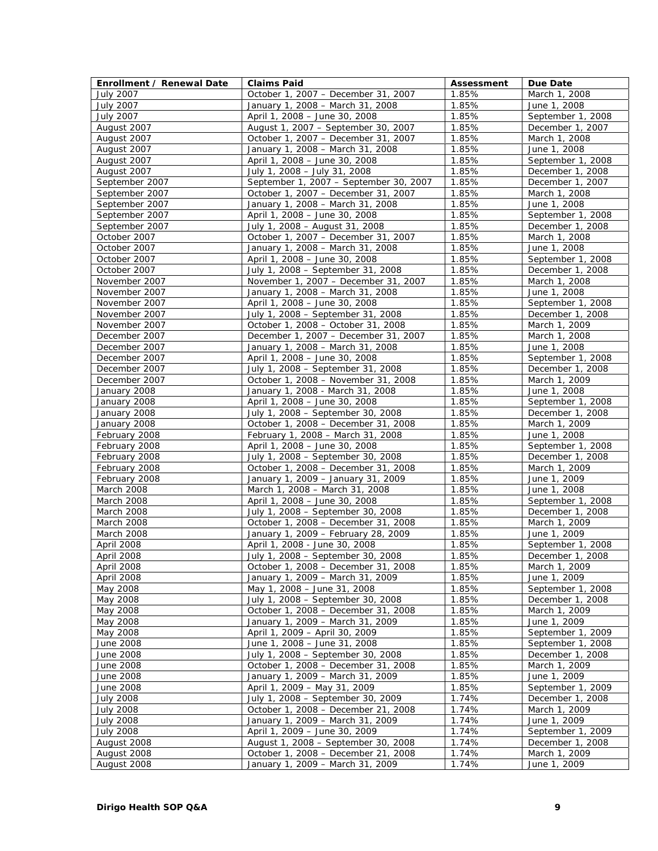| Enrollment / Renewal Date     | <b>Claims Paid</b>                                                      | Assessment     | Due Date                          |
|-------------------------------|-------------------------------------------------------------------------|----------------|-----------------------------------|
| <b>July 2007</b>              | October 1, 2007 - December 31, 2007                                     | 1.85%          | March 1, 2008                     |
| <b>July 2007</b>              | January 1, 2008 - March 31, 2008                                        | 1.85%          | June 1, 2008                      |
| <b>July 2007</b>              | April 1, 2008 - June 30, 2008                                           | 1.85%          | September 1, 2008                 |
| August 2007                   | August 1, 2007 - September 30, 2007                                     | 1.85%          | December 1, 2007                  |
| August 2007                   | October 1, 2007 - December 31, 2007                                     | 1.85%          | March 1, 2008                     |
| August 2007                   | January 1, 2008 - March 31, 2008                                        | 1.85%          | June 1, 2008                      |
| August 2007                   | April 1, 2008 - June 30, 2008                                           | 1.85%          | September 1, 2008                 |
| August 2007                   | July 1, 2008 - July 31, 2008                                            | 1.85%          | December 1, 2008                  |
| September 2007                | September 1, 2007 - September 30, 2007                                  | 1.85%          | December 1, 2007                  |
| September 2007                | October 1, 2007 - December 31, 2007                                     | 1.85%          | March 1, 2008                     |
| September 2007                | January 1, 2008 - March 31, 2008                                        | 1.85%          | June 1, 2008                      |
| September 2007                | April 1, 2008 - June 30, 2008                                           | 1.85%          | September 1, 2008                 |
| September 2007                | July 1, 2008 - August 31, 2008                                          | 1.85%          | December 1, 2008                  |
| October 2007                  | October 1, 2007 - December 31, 2007                                     | 1.85%          | March 1, 2008                     |
| October 2007                  | January 1, 2008 - March 31, 2008                                        | 1.85%          | June 1, 2008                      |
| October 2007                  | April 1, 2008 - June 30, 2008                                           | 1.85%          | September 1, 2008                 |
| October 2007                  | July 1, 2008 - September 31, 2008                                       | 1.85%          | December 1, 2008                  |
| November 2007                 | November 1, 2007 - December 31, 2007                                    | 1.85%          | March 1, 2008                     |
| November 2007                 | January 1, 2008 - March 31, 2008                                        | 1.85%          | June 1, 2008                      |
| November 2007                 | April 1, 2008 - June 30, 2008                                           | 1.85%          | September 1, 2008                 |
| November 2007                 | July 1, 2008 - September 31, 2008                                       | 1.85%          | December 1, 2008                  |
| November 2007                 | October 1, 2008 - October 31, 2008                                      | 1.85%          | March 1, 2009                     |
| December 2007                 | December 1, 2007 - December 31, 2007                                    | 1.85%          | March 1, 2008                     |
| December 2007                 | January 1, 2008 - March 31, 2008                                        | 1.85%          | June 1, 2008                      |
| December 2007                 | April 1, 2008 - June 30, 2008                                           | 1.85%          | September 1, 2008                 |
| December 2007                 | July 1, 2008 - September 31, 2008                                       | 1.85%          | December 1, 2008                  |
| December 2007                 | October 1, 2008 - November 31, 2008                                     | 1.85%          | March 1, 2009                     |
| January 2008                  | January 1, 2008 - March 31, 2008                                        | 1.85%          | June 1, 2008                      |
| January 2008                  | April 1, 2008 - June 30, 2008                                           | 1.85%          | September 1, 2008                 |
| January 2008                  | July 1, 2008 - September 30, 2008                                       | 1.85%          | December 1, 2008                  |
|                               | October 1, 2008 - December 31, 2008                                     | 1.85%          | March 1, 2009                     |
| January 2008<br>February 2008 | February 1, 2008 - March 31, 2008                                       | 1.85%          | June 1, 2008                      |
| February 2008                 | April 1, 2008 - June 30, 2008                                           | 1.85%          | September 1, 2008                 |
| February 2008                 | July 1, 2008 - September 30, 2008                                       | 1.85%          | December 1, 2008                  |
| February 2008                 | October 1, 2008 - December 31, 2008                                     | 1.85%          | March 1, 2009                     |
| February 2008                 |                                                                         | 1.85%          | June 1, 2009                      |
| March 2008                    | January 1, 2009 - January 31, 2009<br>March 1, 2008 - March 31, 2008    | 1.85%          | June 1, 2008                      |
| March 2008                    | April 1, 2008 - June 30, 2008                                           | 1.85%          | September 1, 2008                 |
| March 2008                    | July 1, 2008 - September 30, 2008                                       | 1.85%          | December 1, 2008                  |
| <b>March 2008</b>             | October 1, 2008 - December 31, 2008                                     | 1.85%          | March 1, 2009                     |
| March 2008                    | January 1, 2009 - February 28, 2009                                     | 1.85%          | June 1, 2009                      |
| April 2008                    | April 1, 2008 - June 30, 2008                                           | 1.85%          | September 1, 2008                 |
| <b>April 2008</b>             | July 1, 2008 - September 30, 2008                                       | 1.85%          |                                   |
| April 2008                    | October 1, 2008 - December 31, 2008                                     | 1.85%          | December 1, 2008<br>March 1, 2009 |
| April 2008                    | January 1, 2009 - March 31, 2009                                        | 1.85%          | June 1, 2009                      |
| May 2008                      | May 1, 2008 - June 31, 2008                                             | 1.85%          | September 1, 2008                 |
| May 2008                      | July 1, 2008 - September 30, 2008                                       | 1.85%          | December 1, 2008                  |
| May 2008                      | October 1, 2008 - December 31, 2008                                     | 1.85%          | March 1, 2009                     |
| May 2008                      | January 1, 2009 - March 31, 2009                                        | 1.85%          | June 1, 2009                      |
| May 2008                      | April 1, 2009 - April 30, 2009                                          | 1.85%          | September 1, 2009                 |
|                               |                                                                         |                |                                   |
| June 2008<br>June 2008        | June 1, 2008 - June 31, 2008<br>July 1, 2008 - September 30, 2008       | 1.85%<br>1.85% | September 1, 2008                 |
|                               |                                                                         |                | December 1, 2008                  |
| <b>June 2008</b>              | October 1, 2008 - December 31, 2008<br>January 1, 2009 - March 31, 2009 | 1.85%          | March 1, 2009                     |
| June 2008                     |                                                                         | 1.85%          | June 1, 2009                      |
| June 2008                     | April 1, 2009 - May 31, 2009<br>July 1, 2008 - September 30, 2009       | 1.85%          | September 1, 2009                 |
| <b>July 2008</b>              |                                                                         | 1.74%          | December 1, 2008                  |
| <b>July 2008</b>              | October 1, 2008 - December 21, 2008                                     | 1.74%          | March 1, 2009                     |
| <b>July 2008</b>              | January 1, 2009 - March 31, 2009                                        | 1.74%          | June 1, 2009                      |
| <b>July 2008</b>              | April 1, 2009 - June 30, 2009                                           | 1.74%          | September 1, 2009                 |
| August 2008                   | August 1, 2008 - September 30, 2008                                     | 1.74%          | December 1, 2008                  |
| August 2008                   | October 1, 2008 - December 21, 2008                                     | 1.74%          | March 1, 2009                     |
| August 2008                   | January 1, 2009 - March 31, 2009                                        | 1.74%          | June 1, 2009                      |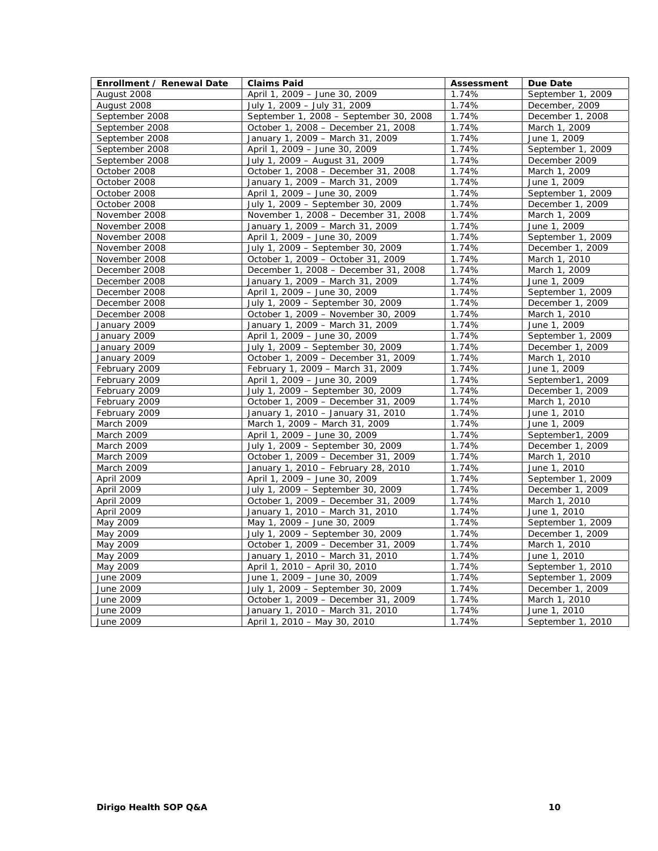| Enrollment / Renewal Date | <b>Claims Paid</b>                     | Assessment | Due Date          |
|---------------------------|----------------------------------------|------------|-------------------|
| August 2008               | April 1, 2009 - June 30, 2009          | 1.74%      | September 1, 2009 |
| August 2008               | July 1, 2009 - July 31, 2009           | 1.74%      | December, 2009    |
| September 2008            | September 1, 2008 - September 30, 2008 | 1.74%      | December 1, 2008  |
| September 2008            | October 1, 2008 - December 21, 2008    | 1.74%      | March 1, 2009     |
| September 2008            | January 1, 2009 - March 31, 2009       | 1.74%      | June 1, 2009      |
| September 2008            | April 1, 2009 - June 30, 2009          | 1.74%      | September 1, 2009 |
| September 2008            | July 1, 2009 - August 31, 2009         | 1.74%      | December 2009     |
| October 2008              | October 1, 2008 - December 31, 2008    | 1.74%      | March 1, 2009     |
| October 2008              | January 1, 2009 - March 31, 2009       | 1.74%      | June 1, 2009      |
| October 2008              | April 1, 2009 - June 30, 2009          | 1.74%      | September 1, 2009 |
| October 2008              | July 1, 2009 - September 30, 2009      | 1.74%      | December 1, 2009  |
| November 2008             | November 1, 2008 - December 31, 2008   | 1.74%      | March 1, 2009     |
| November 2008             | January 1, 2009 - March 31, 2009       | 1.74%      | June 1, 2009      |
| November 2008             | April 1, 2009 - June 30, 2009          | 1.74%      | September 1, 2009 |
| November 2008             | July 1, 2009 - September 30, 2009      | 1.74%      | December 1, 2009  |
| November 2008             | October 1, 2009 - October 31, 2009     | 1.74%      | March 1, 2010     |
| December 2008             | December 1, 2008 - December 31, 2008   | 1.74%      | March 1, 2009     |
| December 2008             | January 1, 2009 - March 31, 2009       | 1.74%      | June 1, 2009      |
| December 2008             | April 1, 2009 - June 30, 2009          | 1.74%      | September 1, 2009 |
| December 2008             | July 1, 2009 - September 30, 2009      | 1.74%      | December 1, 2009  |
| December 2008             | October 1, 2009 - November 30, 2009    | 1.74%      | March 1, 2010     |
| January 2009              | January 1, 2009 - March 31, 2009       | 1.74%      | June 1, 2009      |
| January 2009              | April 1, 2009 - June 30, 2009          | 1.74%      | September 1, 2009 |
| January 2009              | July 1, 2009 - September 30, 2009      | 1.74%      | December 1, 2009  |
| January 2009              | October 1, 2009 - December 31, 2009    | 1.74%      | March 1, 2010     |
| February 2009             | February 1, 2009 - March 31, 2009      | 1.74%      | June 1, 2009      |
| February 2009             | April 1, 2009 - June 30, 2009          | 1.74%      | September1, 2009  |
| February 2009             | July 1, 2009 - September 30, 2009      | 1.74%      | December 1, 2009  |
| February 2009             | October 1, 2009 - December 31, 2009    | 1.74%      | March 1, 2010     |
| February 2009             | January 1, 2010 - January 31, 2010     | 1.74%      | June 1, 2010      |
| March 2009                | March 1, 2009 - March 31, 2009         | 1.74%      | June 1, 2009      |
| March 2009                | April 1, 2009 - June 30, 2009          | 1.74%      | September1, 2009  |
| March 2009                | July 1, 2009 - September 30, 2009      | 1.74%      | December 1, 2009  |
| March 2009                | October 1, 2009 - December 31, 2009    | 1.74%      | March 1, 2010     |
| March 2009                | January 1, 2010 - February 28, 2010    | 1.74%      | June 1, 2010      |
| April 2009                | April 1, 2009 - June 30, 2009          | 1.74%      | September 1, 2009 |
| April 2009                | July 1, 2009 - September 30, 2009      | 1.74%      | December 1, 2009  |
| April 2009                | October 1, 2009 - December 31, 2009    | 1.74%      | March 1, 2010     |
| April 2009                | January 1, 2010 - March 31, 2010       | 1.74%      | June 1, 2010      |
| May 2009                  | May 1, 2009 - June 30, 2009            | 1.74%      | September 1, 2009 |
| May 2009                  | July 1, 2009 - September 30, 2009      | 1.74%      | December 1, 2009  |
| May 2009                  | October 1, 2009 - December 31, 2009    | 1.74%      | March 1, 2010     |
| May 2009                  | January 1, 2010 - March 31, 2010       | 1.74%      | June 1, 2010      |
| May 2009                  | April 1, 2010 - April 30, 2010         | 1.74%      | September 1, 2010 |
| June 2009                 | June 1, 2009 - June 30, 2009           | 1.74%      | September 1, 2009 |
| June 2009                 | July 1, 2009 - September 30, 2009      | 1.74%      | December 1, 2009  |
| June 2009                 | October 1, 2009 - December 31, 2009    | 1.74%      | March 1, 2010     |
| June 2009                 | January 1, 2010 - March 31, 2010       | 1.74%      | June 1, 2010      |
| June 2009                 | April 1, 2010 - May 30, 2010           | 1.74%      | September 1, 2010 |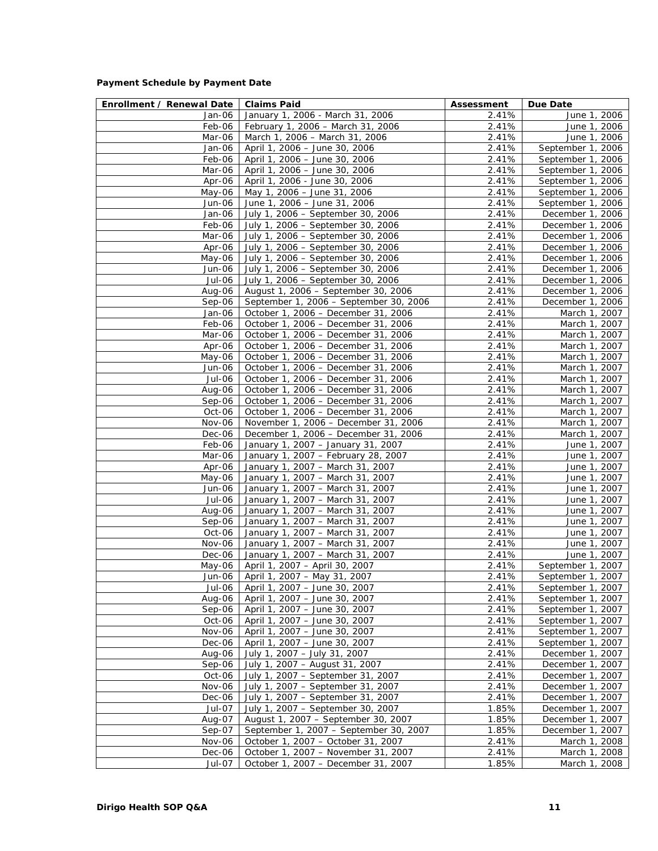#### **Payment Schedule by Payment Date**

| Enrollment / Renewal Date | Claims Paid                                                                  | Assessment     | Due Date                               |
|---------------------------|------------------------------------------------------------------------------|----------------|----------------------------------------|
| Jan-06                    | January 1, 2006 - March 31, 2006                                             | 2.41%          | June 1, 2006                           |
| Feb-06                    | February 1, 2006 - March 31, 2006                                            | 2.41%          | June 1, 2006                           |
| Mar-06                    | March 1, 2006 - March 31, 2006                                               | 2.41%          | June 1, 2006                           |
| Jan-06                    | April 1, 2006 - June 30, 2006                                                | 2.41%          | September 1, 2006                      |
| Feb-06                    | April 1, 2006 - June 30, 2006                                                | 2.41%          | September 1, 2006                      |
| Mar-06                    | April 1, 2006 - June 30, 2006                                                | 2.41%          | September 1, 2006                      |
| Apr-06                    | April 1, 2006 - June 30, 2006                                                | 2.41%          | September 1, 2006                      |
| May-06                    | May 1, 2006 - June 31, 2006                                                  | 2.41%          | September 1, 2006                      |
| Jun-06                    | June 1, 2006 - June 31, 2006                                                 | 2.41%          | September 1, 2006                      |
| Jan-06                    | July 1, 2006 - September 30, 2006                                            | 2.41%          | December 1, 2006                       |
| Feb-06                    | July 1, 2006 - September 30, 2006                                            | 2.41%          | December 1, 2006                       |
| Mar-06                    | July 1, 2006 - September 30, 2006                                            | 2.41%          | December 1, 2006                       |
| Apr-06                    | July 1, 2006 - September 30, 2006                                            | 2.41%          | December 1, 2006                       |
| May-06                    | July 1, 2006 - September 30, 2006                                            | 2.41%          | December 1, 2006                       |
| Jun-06                    | July 1, 2006 - September 30, 2006                                            | 2.41%          | December 1, 2006                       |
| Jul-06                    | July 1, 2006 - September 30, 2006                                            | 2.41%          | December 1, 2006                       |
| Aug-06                    | August 1, 2006 - September 30, 2006                                          | 2.41%          | December 1, 2006                       |
| Sep-06                    | September 1, 2006 - September 30, 2006                                       | 2.41%          | December 1, 2006                       |
| Jan-06                    | October 1, 2006 - December 31, 2006                                          | 2.41%          | March 1, 2007                          |
| Feb-06                    | October 1, 2006 - December 31, 2006                                          | 2.41%          | March 1, 2007                          |
| Mar-06                    | October 1, 2006 - December 31, 2006                                          | 2.41%          | March 1, 2007                          |
| Apr-06                    | October 1, 2006 - December 31, 2006                                          | 2.41%          | March 1, 2007                          |
| May-06                    | October 1, 2006 - December 31, 2006                                          | 2.41%          | March 1, 2007                          |
| Jun-06                    | October 1, 2006 - December 31, 2006                                          | 2.41%          | March 1, 2007                          |
| Jul-06                    | October 1, 2006 – December 31, 2006                                          | 2.41%          | March 1, 2007                          |
| Aug-06                    | October 1, 2006 - December 31, 2006                                          | 2.41%          | March 1, 2007                          |
| Sep-06                    | October 1, 2006 - December 31, 2006                                          | 2.41%          | March 1, 2007                          |
| Oct-06<br>Nov-06          | October 1, 2006 - December 31, 2006                                          | 2.41%          | March 1, 2007                          |
| Dec-06                    | November 1, 2006 - December 31, 2006<br>December 1, 2006 - December 31, 2006 | 2.41%<br>2.41% | March 1, 2007<br>March 1, 2007         |
| Feb-06                    | January 1, 2007 - January 31, 2007                                           | 2.41%          | June 1, 2007                           |
| Mar-06                    | January 1, 2007 - February 28, 2007                                          | 2.41%          | June 1, 2007                           |
| Apr-06                    | January 1, 2007 - March 31, 2007                                             | 2.41%          | June 1, 2007                           |
| May-06                    | January 1, 2007 - March 31, 2007                                             | 2.41%          | June 1, 2007                           |
| Jun-06                    | January 1, 2007 - March 31, 2007                                             | 2.41%          | June 1, 2007                           |
| Jul-06                    | January 1, 2007 - March 31, 2007                                             | 2.41%          | June 1, 2007                           |
| Aug-06                    | January 1, 2007 - March 31, 2007                                             | 2.41%          | June 1, 2007                           |
| Sep-06                    | January 1, 2007 - March 31, 2007                                             | 2.41%          | June 1, 2007                           |
| Oct-06                    | January 1, 2007 - March 31, 2007                                             | 2.41%          | June 1, 2007                           |
| Nov-06                    | January 1, 2007 - March 31, 2007                                             | 2.41%          | June 1, 2007                           |
| Dec-06                    | January 1, 2007 - March 31, 2007                                             | 2.41%          | June 1, 2007                           |
| May-06 $\vert$            | April 1, 2007 - April 30, 2007                                               | 2.41%          | September 1, 2007                      |
| Jun-06 l                  | April 1, 2007 - May 31, 2007                                                 | 2.41%          | September 1, 2007                      |
| Jul-06                    | April 1, 2007 - June 30, 2007                                                | 2.41%          | September 1, 2007                      |
| Aug-06<br>$Sep-06$        | April 1, 2007 - June 30, 2007<br>April 1, 2007 - June 30, 2007               | 2.41%<br>2.41% | September 1, 2007<br>September 1, 2007 |
| Oct-06                    | April 1, 2007 - June 30, 2007                                                | 2.41%          | September 1, 2007                      |
| Nov-06                    | April 1, 2007 - June 30, 2007                                                | 2.41%          | September 1, 2007                      |
| Dec-06                    | April 1, 2007 - June 30, 2007                                                | 2.41%          | September 1, 2007                      |
| Aug-06                    | July 1, 2007 - July 31, 2007                                                 | 2.41%          | December 1, 2007                       |
| $Sep-06$                  | July 1, 2007 - August 31, 2007                                               | 2.41%          | December 1, 2007                       |
| Oct-06                    | July 1, 2007 - September 31, 2007                                            | 2.41%          | December 1, 2007                       |
| Nov-06                    | July 1, 2007 - September 31, 2007                                            | 2.41%          | December 1, 2007                       |
| Dec-06                    | July 1, 2007 - September 31, 2007                                            | 2.41%          | December 1, 2007                       |
| Jul-07                    | July 1, 2007 - September 30, 2007                                            | 1.85%          | December 1, 2007                       |
| Aug-07                    | August 1, 2007 - September 30, 2007                                          | 1.85%          | December 1, 2007                       |
| Sep-07                    | September 1, 2007 - September 30, 2007                                       | 1.85%          | December 1, 2007                       |
| Nov-06                    | October 1, 2007 - October 31, 2007                                           | 2.41%          | March 1, 2008                          |
| Dec-06                    | October 1, 2007 - November 31, 2007                                          | 2.41%          | March 1, 2008                          |
| Jul-07                    | October 1, 2007 - December 31, 2007                                          | 1.85%          | March 1, 2008                          |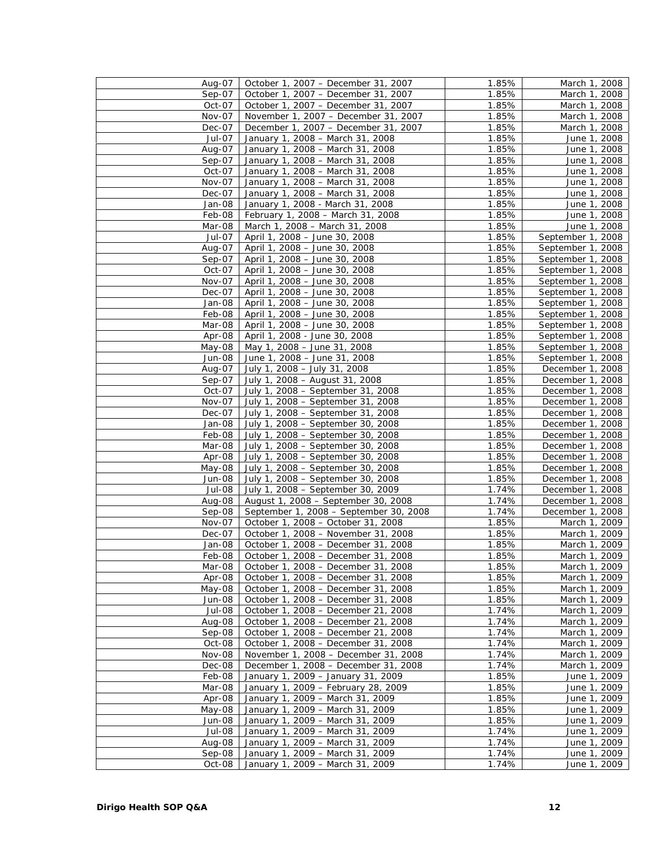| Aug-07   | October 1, 2007 - December 31, 2007    | 1.85% | March 1, 2008     |
|----------|----------------------------------------|-------|-------------------|
| $Sep-07$ | October 1, 2007 - December 31, 2007    | 1.85% | March 1, 2008     |
| Oct-07   | October 1, 2007 - December 31, 2007    | 1.85% | March 1, 2008     |
| Nov-07   | November 1, 2007 - December 31, 2007   | 1.85% | March 1, 2008     |
| Dec-07   | December 1, 2007 - December 31, 2007   | 1.85% | March 1, 2008     |
| Jul-07   | January 1, 2008 - March 31, 2008       | 1.85% | June 1, 2008      |
| Aug-07   | January 1, 2008 - March 31, 2008       | 1.85% | June 1, 2008      |
| $Sep-07$ | January 1, 2008 - March 31, 2008       | 1.85% | June 1, 2008      |
| Oct-07   | January 1, 2008 - March 31, 2008       | 1.85% | June 1, 2008      |
|          |                                        |       |                   |
| Nov-07   | January 1, 2008 - March 31, 2008       | 1.85% | June 1, 2008      |
| Dec-07   | January 1, 2008 - March 31, 2008       | 1.85% | June 1, 2008      |
| Jan-08   | January 1, 2008 - March 31, 2008       | 1.85% | June 1, 2008      |
| Feb-08   | February 1, 2008 - March 31, 2008      | 1.85% | June 1, 2008      |
| Mar-08   | March 1, 2008 - March 31, 2008         | 1.85% | June 1, 2008      |
| Jul-07   | April 1, 2008 - June 30, 2008          | 1.85% | September 1, 2008 |
| Aug-07   | April 1, 2008 - June 30, 2008          | 1.85% | September 1, 2008 |
| Sep-07   | April 1, 2008 - June 30, 2008          | 1.85% | September 1, 2008 |
| Oct-07   | April 1, 2008 - June 30, 2008          | 1.85% | September 1, 2008 |
| Nov-07   | April 1, 2008 - June 30, 2008          | 1.85% | September 1, 2008 |
| $Dec-07$ | April 1, 2008 - June 30, 2008          | 1.85% | September 1, 2008 |
| Jan-08   | April 1, 2008 - June 30, 2008          | 1.85% | September 1, 2008 |
| Feb-08   | April 1, 2008 - June 30, 2008          | 1.85% | September 1, 2008 |
| Mar-08   | April 1, 2008 - June 30, 2008          | 1.85% | September 1, 2008 |
| Apr-08   | April 1, 2008 - June 30, 2008          | 1.85% | September 1, 2008 |
| May-08   | May 1, 2008 - June 31, 2008            | 1.85% | September 1, 2008 |
| Jun-08   | June 1, 2008 - June 31, 2008           | 1.85% | September 1, 2008 |
| Aug-07   | July 1, 2008 - July 31, 2008           | 1.85% | December 1, 2008  |
| $Sep-07$ | July 1, 2008 - August 31, 2008         | 1.85% | December 1, 2008  |
| Oct-07   | July 1, 2008 - September 31, 2008      | 1.85% | December 1, 2008  |
| Nov-07   | July 1, 2008 - September 31, 2008      | 1.85% | December 1, 2008  |
| Dec-07   | July 1, 2008 - September 31, 2008      |       | December 1, 2008  |
|          |                                        | 1.85% |                   |
| Jan-08   | July 1, 2008 - September 30, 2008      | 1.85% | December 1, 2008  |
| Feb-08   | July 1, 2008 - September 30, 2008      | 1.85% | December 1, 2008  |
| Mar-08   | July 1, 2008 - September 30, 2008      | 1.85% | December 1, 2008  |
| Apr-08   | July 1, 2008 - September 30, 2008      | 1.85% | December 1, 2008  |
| May-08   | July 1, 2008 - September 30, 2008      | 1.85% | December 1, 2008  |
| Jun-08   | July 1, 2008 - September 30, 2008      | 1.85% | December 1, 2008  |
| Jul-08   | July 1, 2008 - September 30, 2009      | 1.74% | December 1, 2008  |
| Aug-08   | August 1, 2008 - September 30, 2008    | 1.74% | December 1, 2008  |
| Sep-08   | September 1, 2008 - September 30, 2008 | 1.74% | December 1, 2008  |
| Nov-07   | October 1, 2008 - October 31, 2008     | 1.85% | March 1, 2009     |
| Dec-07   | October 1, 2008 - November 31, 2008    | 1.85% | March 1, 2009     |
| Jan-08   | October 1, 2008 - December 31, 2008    | 1.85% | March 1, 2009     |
| Feb-08   | October 1, 2008 - December 31, 2008    | 1.85% | March 1, 2009     |
| Mar-08   | October 1, 2008 - December 31, 2008    | 1.85% | March 1, 2009     |
| Apr-08   | October 1, 2008 - December 31, 2008    | 1.85% | March 1, 2009     |
| May-08   | October 1, 2008 - December 31, 2008    | 1.85% | March 1, 2009     |
| Jun-08   | October 1, 2008 - December 31, 2008    | 1.85% | March 1, 2009     |
| Jul-08   | October 1, 2008 - December 21, 2008    | 1.74% | March 1, 2009     |
| Aug-08   | October 1, 2008 - December 21, 2008    | 1.74% | March 1, 2009     |
| Sep-08   | October 1, 2008 - December 21, 2008    | 1.74% | March 1, 2009     |
| Oct-08   | October 1, 2008 - December 31, 2008    | 1.74% | March 1, 2009     |
| Nov-08   | November 1, 2008 - December 31, 2008   | 1.74% | March 1, 2009     |
| Dec-08   | December 1, 2008 - December 31, 2008   | 1.74% | March 1, 2009     |
| Feb-08   | January 1, 2009 - January 31, 2009     | 1.85% | June 1, 2009      |
| Mar-08   | January 1, 2009 - February 28, 2009    | 1.85% | June 1, 2009      |
| Apr-08   | January 1, 2009 - March 31, 2009       | 1.85% |                   |
|          |                                        |       | June 1, 2009      |
| May-08   | January 1, 2009 - March 31, 2009       | 1.85% | June 1, 2009      |
| Jun-08   | January 1, 2009 - March 31, 2009       | 1.85% | June 1, 2009      |
| Jul-08   | January 1, 2009 - March 31, 2009       | 1.74% | June 1, 2009      |
| Aug-08   | January 1, 2009 - March 31, 2009       | 1.74% | June 1, 2009      |
| $Sep-08$ | January 1, 2009 - March 31, 2009       | 1.74% | June 1, 2009      |
| Oct-08   | January 1, 2009 - March 31, 2009       | 1.74% | June 1, 2009      |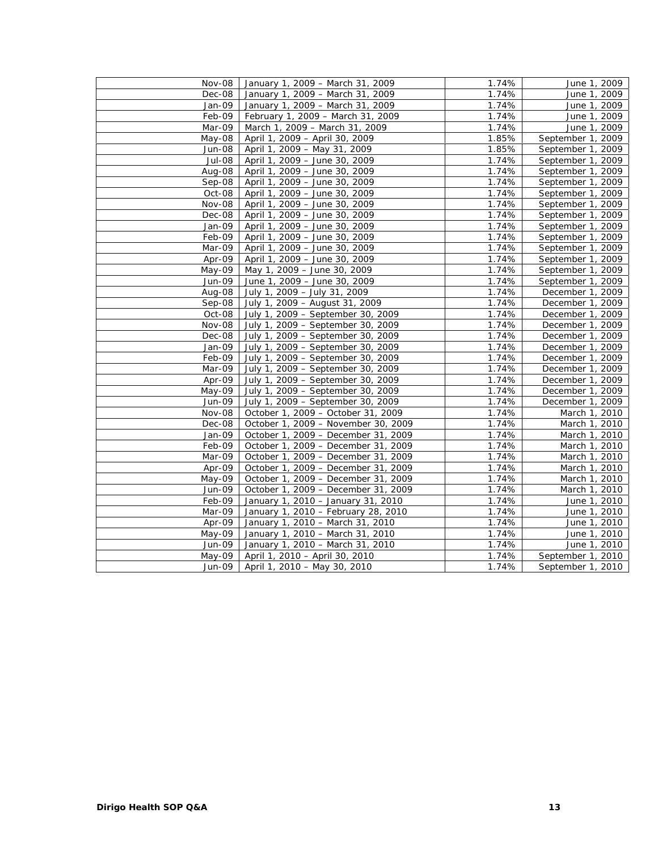| Nov-08   | January 1, 2009 - March 31, 2009    | 1.74% | June 1, 2009      |
|----------|-------------------------------------|-------|-------------------|
| Dec-08   | January 1, 2009 - March 31, 2009    | 1.74% | June 1, 2009      |
| Jan-09   | January 1, 2009 - March 31, 2009    | 1.74% | June 1, 2009      |
| Feb-09   | February 1, 2009 - March 31, 2009   | 1.74% | June 1, 2009      |
| Mar-09   | March 1, 2009 - March 31, 2009      | 1.74% | June 1, 2009      |
| May-08   | April 1, 2009 - April 30, 2009      | 1.85% | September 1, 2009 |
| Jun-08   | April 1, 2009 - May 31, 2009        | 1.85% | September 1, 2009 |
| Jul-08   | April 1, 2009 - June 30, 2009       | 1.74% | September 1, 2009 |
| Aug-08   | April 1, 2009 - June 30, 2009       | 1.74% | September 1, 2009 |
| Sep-08   | April 1, 2009 - June 30, 2009       | 1.74% | September 1, 2009 |
| Oct-08   | April 1, 2009 - June 30, 2009       | 1.74% | September 1, 2009 |
| Nov-08   | April 1, 2009 - June 30, 2009       | 1.74% | September 1, 2009 |
| Dec-08   | April 1, 2009 - June 30, 2009       | 1.74% | September 1, 2009 |
| Jan-09   | April 1, 2009 - June 30, 2009       | 1.74% | September 1, 2009 |
| Feb-09   | April 1, 2009 - June 30, 2009       | 1.74% | September 1, 2009 |
| Mar-09   | April 1, 2009 - June 30, 2009       | 1.74% | September 1, 2009 |
| Apr-09   | April 1, 2009 - June 30, 2009       | 1.74% | September 1, 2009 |
| May-09   | May 1, 2009 - June 30, 2009         | 1.74% | September 1, 2009 |
| Jun-09   | June 1, 2009 - June 30, 2009        | 1.74% | September 1, 2009 |
| Aug-08   | July 1, 2009 - July 31, 2009        | 1.74% | December 1, 2009  |
| Sep-08   | July 1, 2009 - August 31, 2009      | 1.74% | December 1, 2009  |
| Oct-08   | July 1, 2009 - September 30, 2009   | 1.74% | December 1, 2009  |
| Nov-08   | July 1, 2009 - September 30, 2009   | 1.74% | December 1, 2009  |
| Dec-08   | July 1, 2009 - September 30, 2009   | 1.74% | December 1, 2009  |
| Jan-09   | July 1, 2009 - September 30, 2009   | 1.74% | December 1, 2009  |
| Feb-09   | July 1, 2009 - September 30, 2009   | 1.74% | December 1, 2009  |
| Mar-09   | July 1, 2009 - September 30, 2009   | 1.74% | December 1, 2009  |
| Apr-09   | July 1, 2009 - September 30, 2009   | 1.74% | December 1, 2009  |
| May-09   | July 1, 2009 - September 30, 2009   | 1.74% | December 1, 2009  |
| Jun-09   | July 1, 2009 - September 30, 2009   | 1.74% | December 1, 2009  |
| Nov-08   | October 1, 2009 - October 31, 2009  | 1.74% | March 1, 2010     |
| $Dec-08$ | October 1, 2009 - November 30, 2009 | 1.74% | March 1, 2010     |
| Jan-09   | October 1, 2009 - December 31, 2009 | 1.74% | March 1, 2010     |
| Feb-09   | October 1, 2009 - December 31, 2009 | 1.74% | March 1, 2010     |
| Mar-09   | October 1, 2009 - December 31, 2009 | 1.74% | March 1, 2010     |
| Apr-09   | October 1, 2009 - December 31, 2009 | 1.74% | March 1, 2010     |
| May-09   | October 1, 2009 - December 31, 2009 | 1.74% | March 1, 2010     |
| Jun-09   | October 1, 2009 - December 31, 2009 | 1.74% | March 1, 2010     |
| Feb-09   | January 1, 2010 - January 31, 2010  | 1.74% | June 1, 2010      |
| Mar-09   | January 1, 2010 - February 28, 2010 | 1.74% | June 1, 2010      |
| Apr-09   | January 1, 2010 - March 31, 2010    | 1.74% | June 1, 2010      |
| May-09   | January 1, 2010 - March 31, 2010    | 1.74% | June 1, 2010      |
| Jun-09   | January 1, 2010 - March 31, 2010    | 1.74% | June 1, 2010      |
| May-09   | April 1, 2010 - April 30, 2010      | 1.74% | September 1, 2010 |
| Jun-09   | April 1, 2010 - May 30, 2010        | 1.74% | September 1, 2010 |